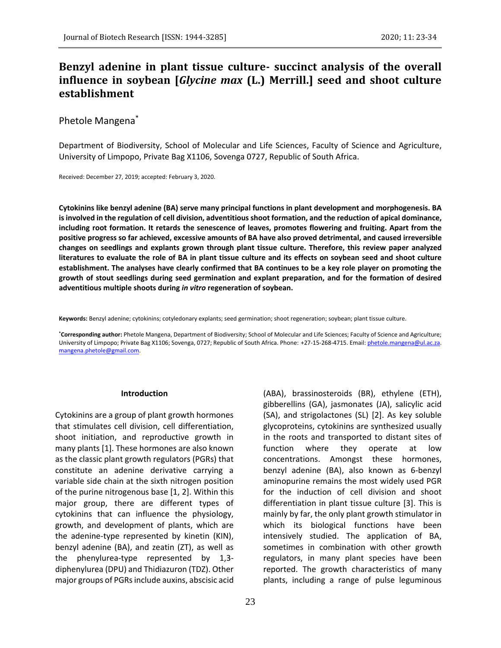# **Benzyl adenine in plant tissue culture- succinct analysis of the overall influence in soybean [***Glycine max* **(L.) Merrill.] seed and shoot culture establishment**

#### Phetole Mangena\*

Department of Biodiversity, School of Molecular and Life Sciences, Faculty of Science and Agriculture, University of Limpopo, Private Bag X1106, Sovenga 0727, Republic of South Africa.

Received: December 27, 2019; accepted: February 3, 2020.

**Cytokinins like benzyl adenine (BA) serve many principal functions in plant development and morphogenesis. BA is involved in the regulation of cell division, adventitious shoot formation, and the reduction of apical dominance, including root formation. It retards the senescence of leaves, promotes flowering and fruiting. Apart from the positive progress so far achieved, excessive amounts of BA have also proved detrimental, and caused irreversible changes on seedlings and explants grown through plant tissue culture. Therefore, this review paper analyzed literatures to evaluate the role of BA in plant tissue culture and its effects on soybean seed and shoot culture establishment. The analyses have clearly confirmed that BA continues to be a key role player on promoting the growth of stout seedlings during seed germination and explant preparation, and for the formation of desired adventitious multiple shoots during** *in vitro* **regeneration of soybean.**

**Keywords:** Benzyl adenine; cytokinins; cotyledonary explants; seed germination; shoot regeneration; soybean; plant tissue culture.

**\*Corresponding author:** Phetole Mangena, Department of Biodiversity; School of Molecular and Life Sciences; Faculty of Science and Agriculture; University of Limpopo; Private Bag X1106; Sovenga, 0727; Republic of South Africa. Phone: +27-15-268-4715. Email[: phetole.mangena@ul.ac.za.](mailto:phetole.mangena@ul.ac.za) [mangena.phetole@gmail.com.](mailto:mangena.phetole@gmail.com)

#### **Introduction**

Cytokinins are a group of plant growth hormones that stimulates cell division, cell differentiation, shoot initiation, and reproductive growth in many plants [1]. These hormones are also known as the classic plant growth regulators (PGRs) that constitute an adenine derivative carrying a variable side chain at the sixth nitrogen position of the purine nitrogenous base [1, 2]. Within this major group, there are different types of cytokinins that can influence the physiology, growth, and development of plants, which are the adenine-type represented by kinetin (KIN), benzyl adenine (BA), and zeatin (ZT), as well as the phenylurea-type represented by 1,3 diphenylurea (DPU) and Thidiazuron (TDZ). Other major groups of PGRs include auxins, abscisic acid

(ABA), brassinosteroids (BR), ethylene (ETH), gibberellins (GA), jasmonates (JA), salicylic acid (SA), and strigolactones (SL) [2]. As key soluble glycoproteins, cytokinins are synthesized usually in the roots and transported to distant sites of function where they operate at low concentrations. Amongst these hormones, benzyl adenine (BA), also known as 6-benzyl aminopurine remains the most widely used PGR for the induction of cell division and shoot differentiation in plant tissue culture [3]. This is mainly by far, the only plant growth stimulator in which its biological functions have been intensively studied. The application of BA, sometimes in combination with other growth regulators, in many plant species have been reported. The growth characteristics of many plants, including a range of pulse leguminous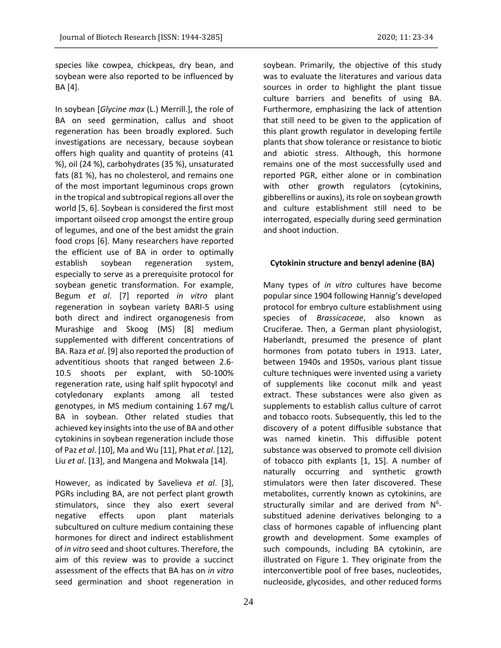species like cowpea, chickpeas, dry bean, and soybean were also reported to be influenced by BA [4].

In soybean [*Glycine max* (L.) Merrill.], the role of BA on seed germination, callus and shoot regeneration has been broadly explored. Such investigations are necessary, because soybean offers high quality and quantity of proteins (41 %), oil (24 %), carbohydrates (35 %), unsaturated fats (81 %), has no cholesterol, and remains one of the most important leguminous crops grown in the tropical and subtropical regions all over the world [5, 6]. Soybean is considered the first most important oilseed crop amongst the entire group of legumes, and one of the best amidst the grain food crops [6]. Many researchers have reported the efficient use of BA in order to optimally establish soybean regeneration system, especially to serve as a prerequisite protocol for soybean genetic transformation. For example, Begum *et al*. [7] reported *in vitro* plant regeneration in soybean variety BARI-5 using both direct and indirect organogenesis from Murashige and Skoog (MS) [8] medium supplemented with different concentrations of BA. Raza *et al*. [9] also reported the production of adventitious shoots that ranged between 2.6- 10.5 shoots per explant, with 50-100% regeneration rate, using half split hypocotyl and cotyledonary explants among all tested genotypes, in MS medium containing 1.67 mg/L BA in soybean. Other related studies that achieved key insights into the use of BA and other cytokinins in soybean regeneration include those of Paz *et al*. [10], Ma and Wu [11], Phat *et al*. [12], Liu *et al*. [13], and Mangena and Mokwala [14].

However, as indicated by Savelieva *et al*. [3], PGRs including BA, are not perfect plant growth stimulators, since they also exert several negative effects upon plant materials subcultured on culture medium containing these hormones for direct and indirect establishment of *in vitro* seed and shoot cultures. Therefore, the aim of this review was to provide a succinct assessment of the effects that BA has on *in vitro* seed germination and shoot regeneration in

soybean. Primarily, the objective of this study was to evaluate the literatures and various data sources in order to highlight the plant tissue culture barriers and benefits of using BA. Furthermore, emphasizing the lack of attention that still need to be given to the application of this plant growth regulator in developing fertile plants that show tolerance or resistance to biotic and abiotic stress. Although, this hormone remains one of the most successfully used and reported PGR, either alone or in combination with other growth regulators (cytokinins, gibberellins or auxins), its role on soybean growth and culture establishment still need to be interrogated, especially during seed germination and shoot induction.

#### **Cytokinin structure and benzyl adenine (BA)**

Many types of *in vitro* cultures have become popular since 1904 following Hannig's developed protocol for embryo culture establishment using species of *Brassicaceae*, also known as Cruciferae. Then, a German plant physiologist, Haberlandt, presumed the presence of plant hormones from potato tubers in 1913. Later, between 1940s and 1950s, various plant tissue culture techniques were invented using a variety of supplements like coconut milk and yeast extract. These substances were also given as supplements to establish callus culture of carrot and tobacco roots. Subsequently, this led to the discovery of a potent diffusible substance that was named kinetin. This diffusible potent substance was observed to promote cell division of tobacco pith explants [1, 15]. A number of naturally occurring and synthetic growth stimulators were then later discovered. These metabolites, currently known as cytokinins, are structurally similar and are derived from  $N^6$ substitued adenine derivatives belonging to a class of hormones capable of influencing plant growth and development. Some examples of such compounds, including BA cytokinin, are illustrated on Figure 1. They originate from the interconvertible pool of free bases, nucleotides, nucleoside, glycosides, and other reduced forms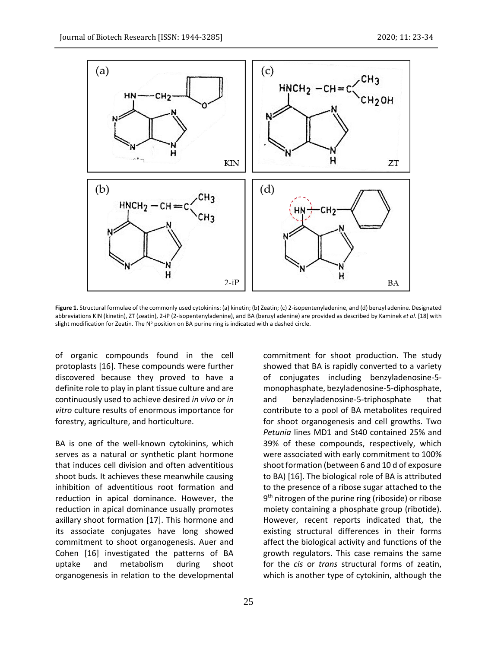

Figure 1. Structural formulae of the commonly used cytokinins: (a) kinetin; (b) Zeatin; (c) 2-isopentenyladenine, and (d) benzyl adenine. Designated abbreviations KIN (kinetin), ZT (zeatin), 2-iP (2-isopentenyladenine), and BA (benzyl adenine) are provided as described by Kaminek *et al*. [18] with slight modification for Zeatin. The  $N^6$  position on BA purine ring is indicated with a dashed circle.

of organic compounds found in the cell protoplasts [16]. These compounds were further discovered because they proved to have a definite role to play in plant tissue culture and are continuously used to achieve desired *in vivo* or *in vitro* culture results of enormous importance for forestry, agriculture, and horticulture.

BA is one of the well-known cytokinins, which serves as a natural or synthetic plant hormone that induces cell division and often adventitious shoot buds. It achieves these meanwhile causing inhibition of adventitious root formation and reduction in apical dominance. However, the reduction in apical dominance usually promotes axillary shoot formation [17]. This hormone and its associate conjugates have long showed commitment to shoot organogenesis. Auer and Cohen [16] investigated the patterns of BA uptake and metabolism during shoot organogenesis in relation to the developmental

commitment for shoot production. The study showed that BA is rapidly converted to a variety of conjugates including benzyladenosine-5 monophasphate, bezyladenosine-5-diphosphate, and benzyladenosine-5-triphosphate that contribute to a pool of BA metabolites required for shoot organogenesis and cell growths. Two *Petunia* lines MD1 and St40 contained 25% and 39% of these compounds, respectively, which were associated with early commitment to 100% shoot formation (between 6 and 10 d of exposure to BA) [16]. The biological role of BA is attributed to the presence of a ribose sugar attached to the 9<sup>th</sup> nitrogen of the purine ring (riboside) or ribose moiety containing a phosphate group (ribotide). However, recent reports indicated that, the existing structural differences in their forms affect the biological activity and functions of the growth regulators. This case remains the same for the *cis* or *trans* structural forms of zeatin, which is another type of cytokinin, although the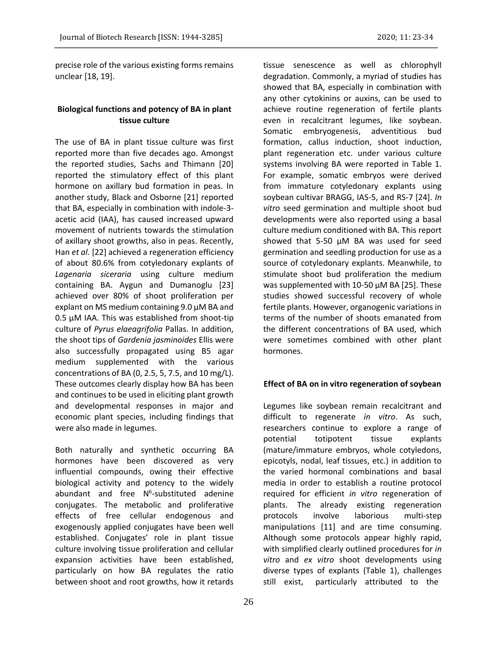precise role of the various existing forms remains unclear [18, 19].

### **Biological functions and potency of BA in plant tissue culture**

The use of BA in plant tissue culture was first reported more than five decades ago. Amongst the reported studies, Sachs and Thimann [20] reported the stimulatory effect of this plant hormone on axillary bud formation in peas. In another study, Black and Osborne [21] reported that BA, especially in combination with indole-3 acetic acid (IAA), has caused increased upward movement of nutrients towards the stimulation of axillary shoot growths, also in peas. Recently, Han *et al*. [22] achieved a regeneration efficiency of about 80.6% from cotyledonary explants of *Lagenaria siceraria* using culture medium containing BA. Aygun and Dumanoglu [23] achieved over 80% of shoot proliferation per explant on MS medium containing 9.0 µM BA and 0.5 µM IAA. This was established from shoot-tip culture of *Pyrus elaeagrifolia* Pallas. In addition, the shoot tips of *Gardenia jasminoides* Ellis were also successfully propagated using B5 agar medium supplemented with the various concentrations of BA (0, 2.5, 5, 7.5, and 10 mg/L). These outcomes clearly display how BA has been and continues to be used in eliciting plant growth and developmental responses in major and economic plant species, including findings that were also made in legumes.

Both naturally and synthetic occurring BA hormones have been discovered as very influential compounds, owing their effective biological activity and potency to the widely abundant and free N<sup>6</sup>-substituted adenine conjugates. The metabolic and proliferative effects of free cellular endogenous and exogenously applied conjugates have been well established. Conjugates' role in plant tissue culture involving tissue proliferation and cellular expansion activities have been established, particularly on how BA regulates the ratio between shoot and root growths, how it retards

tissue senescence as well as chlorophyll degradation. Commonly, a myriad of studies has showed that BA, especially in combination with any other cytokinins or auxins, can be used to achieve routine regeneration of fertile plants even in recalcitrant legumes, like soybean. Somatic embryogenesis, adventitious bud formation, callus induction, shoot induction, plant regeneration etc. under various culture systems involving BA were reported in Table 1. For example, somatic embryos were derived from immature cotyledonary explants using soybean cultivar BRAGG, IAS-5, and RS-7 [24]. *In vitro* seed germination and multiple shoot bud developments were also reported using a basal culture medium conditioned with BA. This report showed that 5-50  $\mu$ M BA was used for seed germination and seedling production for use as a source of cotyledonary explants. Meanwhile, to stimulate shoot bud proliferation the medium was supplemented with 10-50 µM BA [25]. These studies showed successful recovery of whole fertile plants. However, organogenic variations in terms of the number of shoots emanated from the different concentrations of BA used, which were sometimes combined with other plant hormones.

### **Effect of BA on in vitro regeneration of soybean**

Legumes like soybean remain recalcitrant and difficult to regenerate *in vitro*. As such, researchers continue to explore a range of potential totipotent tissue explants (mature/immature embryos, whole cotyledons, epicotyls, nodal, leaf tissues, etc.) in addition to the varied hormonal combinations and basal media in order to establish a routine protocol required for efficient *in vitro* regeneration of plants. The already existing regeneration protocols involve laborious multi-step manipulations [11] and are time consuming. Although some protocols appear highly rapid, with simplified clearly outlined procedures for *in vitro* and *ex vitro* shoot developments using diverse types of explants (Table 1), challenges still exist, particularly attributed to the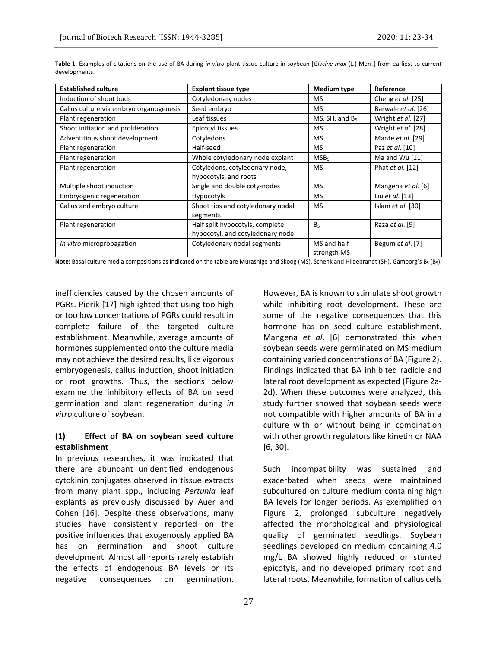| <b>Established culture</b>              | <b>Explant tissue type</b>                                          | <b>Medium type</b>         | Reference              |
|-----------------------------------------|---------------------------------------------------------------------|----------------------------|------------------------|
| Induction of shoot buds                 | Cotyledonary nodes                                                  | <b>MS</b>                  | Cheng et al. [25]      |
| Callus culture via embryo organogenesis | Seed embryo                                                         | <b>MS</b>                  | Barwale et al. [26]    |
| Plant regeneration                      | Leaf tissues                                                        | MS, SH, and $B_5$          | Wright et al. [27]     |
| Shoot initiation and proliferation      | Epicotyl tissues                                                    | MS                         | Wright et al. [28]     |
| Adventitious shoot development          | Cotyledons                                                          | <b>MS</b>                  | Mante et al. [29]      |
| Plant regeneration                      | Half-seed                                                           | MS.                        | Paz et al. [10]        |
| Plant regeneration                      | Whole cotyledonary node explant                                     | MSB <sub>5</sub>           | Ma and Wu [11]         |
| Plant regeneration                      | Cotyledons, cotyledonary node,<br>hypocotyls, and roots             | <b>MS</b>                  | Phat et al. [12]       |
| Multiple shoot induction                | Single and double coty-nodes                                        | <b>MS</b>                  | Mangena et al. [6]     |
| Embryogenic regeneration                | <b>Hypocotyls</b>                                                   | <b>MS</b>                  | Liu <i>et al.</i> [13] |
| Callus and embryo culture               | Shoot tips and cotyledonary nodal<br>segments                       | <b>MS</b>                  | Islam et al. [30]      |
| Plant regeneration                      | Half split hypocotyls, complete<br>hypocotyl, and cotyledonary node | B <sub>5</sub>             | Raza et al. [9]        |
| In vitro micropropagation               | Cotyledonary nodal segments                                         | MS and half<br>strength MS | Begum et al. [7]       |

**Table 1.** Examples of citations on the use of BA during *in vitro* plant tissue culture in soybean [*Glycine max* (L.) Merr.] from earliest to current developments.

Note: Basal culture media compositions as indicated on the table are Murashige and Skoog (MS), Schenk and Hildebrandt (SH), Gamborg's B<sub>5</sub> (B<sub>5</sub>).

inefficiencies caused by the chosen amounts of PGRs. Pierik [17] highlighted that using too high or too low concentrations of PGRs could result in complete failure of the targeted culture establishment. Meanwhile, average amounts of hormones supplemented onto the culture media may not achieve the desired results, like vigorous embryogenesis, callus induction, shoot initiation or root growths. Thus, the sections below examine the inhibitory effects of BA on seed germination and plant regeneration during *in vitro* culture of soybean.

### **(1) Effect of BA on soybean seed culture establishment**

In previous researches, it was indicated that there are abundant unidentified endogenous cytokinin conjugates observed in tissue extracts from many plant spp., including *Pertunia* leaf explants as previously discussed by Auer and Cohen [16]. Despite these observations, many studies have consistently reported on the positive influences that exogenously applied BA has on germination and shoot culture development. Almost all reports rarely establish the effects of endogenous BA levels or its negative consequences on germination.

However, BA is known to stimulate shoot growth while inhibiting root development. These are some of the negative consequences that this hormone has on seed culture establishment. Mangena *et al*. [6] demonstrated this when soybean seeds were germinated on MS medium containing varied concentrations of BA (Figure 2). Findings indicated that BA inhibited radicle and lateral root development as expected (Figure 2a-2d). When these outcomes were analyzed, this study further showed that soybean seeds were not compatible with higher amounts of BA in a culture with or without being in combination with other growth regulators like kinetin or NAA [6, 30].

Such incompatibility was sustained and exacerbated when seeds were maintained subcultured on culture medium containing high BA levels for longer periods. As exemplified on Figure 2, prolonged subculture negatively affected the morphological and physiological quality of germinated seedlings. Soybean seedlings developed on medium containing 4.0 mg/L BA showed highly reduced or stunted epicotyls, and no developed primary root and lateral roots. Meanwhile, formation of callus cells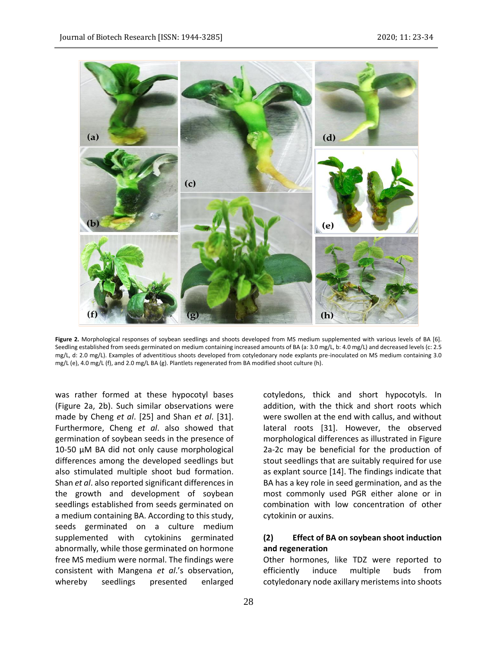

**Figure 2.** Morphological responses of soybean seedlings and shoots developed from MS medium supplemented with various levels of BA [6]. Seedling established from seeds germinated on medium containing increased amounts of BA (a: 3.0 mg/L, b: 4.0 mg/L) and decreased levels (c: 2.5 mg/L, d: 2.0 mg/L). Examples of adventitious shoots developed from cotyledonary node explants pre-inoculated on MS medium containing 3.0 mg/L (e), 4.0 mg/L (f), and 2.0 mg/L BA (g). Plantlets regenerated from BA modified shoot culture (h).

was rather formed at these hypocotyl bases (Figure 2a, 2b). Such similar observations were made by Cheng *et al*. [25] and Shan *et al*. [31]. Furthermore, Cheng *et al*. also showed that germination of soybean seeds in the presence of 10-50 µM BA did not only cause morphological differences among the developed seedlings but also stimulated multiple shoot bud formation. Shan *et al*. also reported significant differences in the growth and development of soybean seedlings established from seeds germinated on a medium containing BA. According to this study, seeds germinated on a culture medium supplemented with cytokinins germinated abnormally, while those germinated on hormone free MS medium were normal. The findings were consistent with Mangena *et al*.'s observation, whereby seedlings presented enlarged

cotyledons, thick and short hypocotyls. In addition, with the thick and short roots which were swollen at the end with callus, and without lateral roots [31]. However, the observed morphological differences as illustrated in Figure 2a-2c may be beneficial for the production of stout seedlings that are suitably required for use as explant source [14]. The findings indicate that BA has a key role in seed germination, and as the most commonly used PGR either alone or in combination with low concentration of other cytokinin or auxins.

### **(2) Effect of BA on soybean shoot induction and regeneration**

Other hormones, like TDZ were reported to efficiently induce multiple buds from cotyledonary node axillary meristems into shoots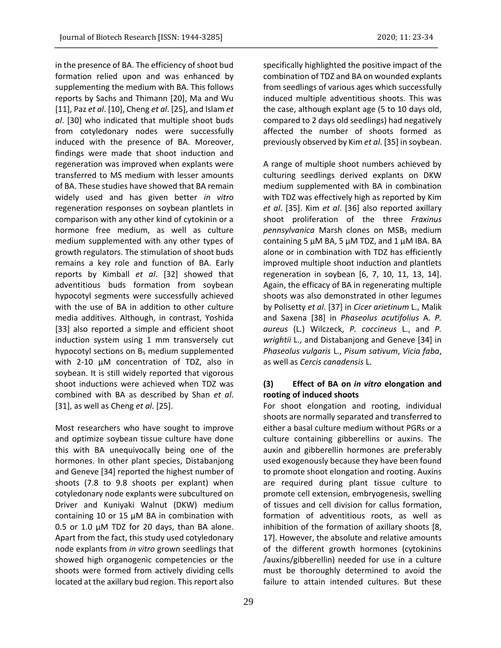in the presence of BA. The efficiency of shoot bud formation relied upon and was enhanced by supplementing the medium with BA. This follows reports by Sachs and Thimann [20], Ma and Wu [11], Paz *et al*. [10], Cheng *et al*. [25], and Islam *et al*. [30] who indicated that multiple shoot buds from cotyledonary nodes were successfully induced with the presence of BA. Moreover, findings were made that shoot induction and regeneration was improved when explants were transferred to MS medium with lesser amounts of BA. These studies have showed that BA remain widely used and has given better *in vitro* regeneration responses on soybean plantlets in comparison with any other kind of cytokinin or a hormone free medium, as well as culture medium supplemented with any other types of growth regulators. The stimulation of shoot buds remains a key role and function of BA. Early reports by Kimball *et al*. [32] showed that adventitious buds formation from soybean hypocotyl segments were successfully achieved with the use of BA in addition to other culture media additives. Although, in contrast, Yoshida [33] also reported a simple and efficient shoot induction system using 1 mm transversely cut hypocotyl sections on  $B_5$  medium supplemented with 2-10 µM concentration of TDZ, also in soybean. It is still widely reported that vigorous shoot inductions were achieved when TDZ was combined with BA as described by Shan *et al*. [31], as well as Cheng *et al*. [25].

Most researchers who have sought to improve and optimize soybean tissue culture have done this with BA unequivocally being one of the hormones. In other plant species, Distabanjong and Geneve [34] reported the highest number of shoots (7.8 to 9.8 shoots per explant) when cotyledonary node explants were subcultured on Driver and Kuniyaki Walnut (DKW) medium containing 10 or 15 µM BA in combination with 0.5 or 1.0  $\mu$ M TDZ for 20 days, than BA alone. Apart from the fact, this study used cotyledonary node explants from *in vitro* grown seedlings that showed high organogenic competencies or the shoots were formed from actively dividing cells located at the axillary bud region. This report also

specifically highlighted the positive impact of the combination of TDZ and BA on wounded explants from seedlings of various ages which successfully induced multiple adventitious shoots. This was the case, although explant age (5 to 10 days old, compared to 2 days old seedlings) had negatively affected the number of shoots formed as previously observed by Kim *et al*. [35] in soybean.

A range of multiple shoot numbers achieved by culturing seedlings derived explants on DKW medium supplemented with BA in combination with TDZ was effectively high as reported by Kim *et al*. [35]. Kim *et al*. [36] also reported axillary shoot proliferation of the three *Fraxinus pennsylvanica* Marsh clones on MSB<sup>5</sup> medium containing 5  $\mu$ M BA, 5  $\mu$ M TDZ, and 1  $\mu$ M IBA. BA alone or in combination with TDZ has efficiently improved multiple shoot induction and plantlets regeneration in soybean [6, 7, 10, 11, 13, 14]. Again, the efficacy of BA in regenerating multiple shoots was also demonstrated in other legumes by Polisetty *et al*. [37] in *Cicer arietinum* L., Malik and Saxena [38] in *Phaseolus acutifolius* A. *P. aureus* (L.) Wilczeck, *P. coccineus* L., and *P. wrightii* L., and Distabanjong and Geneve [34] in *Phaseolus vulgaris* L., *Pisum sativum*, *Vicia faba*, as well as *Cercis canadensis* L.

### **(3) Effect of BA on** *in vitro* **elongation and rooting of induced shoots**

For shoot elongation and rooting, individual shoots are normally separated and transferred to either a basal culture medium without PGRs or a culture containing gibberellins or auxins. The auxin and gibberellin hormones are preferably used exogenously because they have been found to promote shoot elongation and rooting. Auxins are required during plant tissue culture to promote cell extension, embryogenesis, swelling of tissues and cell division for callus formation, formation of adventitious roots, as well as inhibition of the formation of axillary shoots [8, 17]. However, the absolute and relative amounts of the different growth hormones (cytokinins /auxins/gibberellin) needed for use in a culture must be thoroughly determined to avoid the failure to attain intended cultures. But these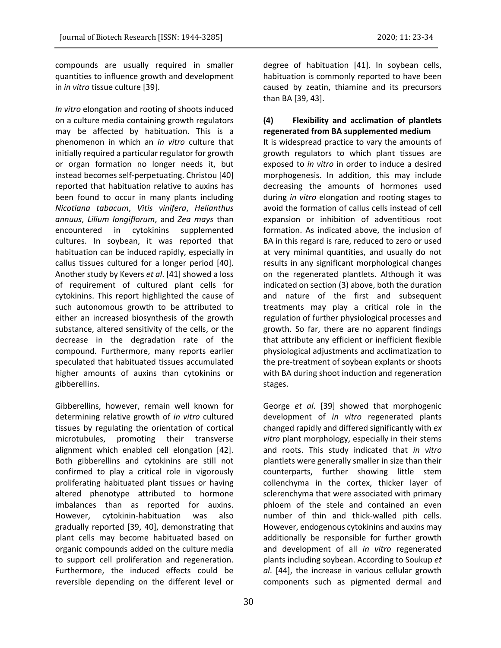compounds are usually required in smaller quantities to influence growth and development in *in vitro* tissue culture [39].

*In vitro* elongation and rooting of shoots induced on a culture media containing growth regulators may be affected by habituation. This is a phenomenon in which an *in vitro* culture that initially required a particular regulator for growth or organ formation no longer needs it, but instead becomes self-perpetuating. Christou [40] reported that habituation relative to auxins has been found to occur in many plants including *Nicotiana tabacum*, *Vitis vinifera*, *Helianthus annuus*, *Lilium longiflorum*, and *Zea mays* than encountered in cytokinins supplemented cultures. In soybean, it was reported that habituation can be induced rapidly, especially in callus tissues cultured for a longer period [40]. Another study by Kevers *et al*. [41] showed a loss of requirement of cultured plant cells for cytokinins. This report highlighted the cause of such autonomous growth to be attributed to either an increased biosynthesis of the growth substance, altered sensitivity of the cells, or the decrease in the degradation rate of the compound. Furthermore, many reports earlier speculated that habituated tissues accumulated higher amounts of auxins than cytokinins or gibberellins.

Gibberellins, however, remain well known for determining relative growth of *in vitro* cultured tissues by regulating the orientation of cortical microtubules, promoting their transverse alignment which enabled cell elongation [42]. Both gibberellins and cytokinins are still not confirmed to play a critical role in vigorously proliferating habituated plant tissues or having altered phenotype attributed to hormone imbalances than as reported for auxins. However, cytokinin-habituation was also gradually reported [39, 40], demonstrating that plant cells may become habituated based on organic compounds added on the culture media to support cell proliferation and regeneration. Furthermore, the induced effects could be reversible depending on the different level or

30

degree of habituation [41]. In soybean cells, habituation is commonly reported to have been caused by zeatin, thiamine and its precursors than BA [39, 43].

## **(4) Flexibility and acclimation of plantlets regenerated from BA supplemented medium**

It is widespread practice to vary the amounts of growth regulators to which plant tissues are exposed to *in vitro* in order to induce a desired morphogenesis. In addition, this may include decreasing the amounts of hormones used during *in vitro* elongation and rooting stages to avoid the formation of callus cells instead of cell expansion or inhibition of adventitious root formation. As indicated above, the inclusion of BA in this regard is rare, reduced to zero or used at very minimal quantities, and usually do not results in any significant morphological changes on the regenerated plantlets. Although it was indicated on section (3) above, both the duration and nature of the first and subsequent treatments may play a critical role in the regulation of further physiological processes and growth. So far, there are no apparent findings that attribute any efficient or inefficient flexible physiological adjustments and acclimatization to the pre-treatment of soybean explants or shoots with BA during shoot induction and regeneration stages.

George *et al*. [39] showed that morphogenic development of *in vitro* regenerated plants changed rapidly and differed significantly with *ex vitro* plant morphology, especially in their stems and roots. This study indicated that *in vitro* plantlets were generally smaller in size than their counterparts, further showing little stem collenchyma in the cortex, thicker layer of sclerenchyma that were associated with primary phloem of the stele and contained an even number of thin and thick-walled pith cells. However, endogenous cytokinins and auxins may additionally be responsible for further growth and development of all *in vitro* regenerated plants including soybean. According to Soukup *et al*. [44], the increase in various cellular growth components such as pigmented dermal and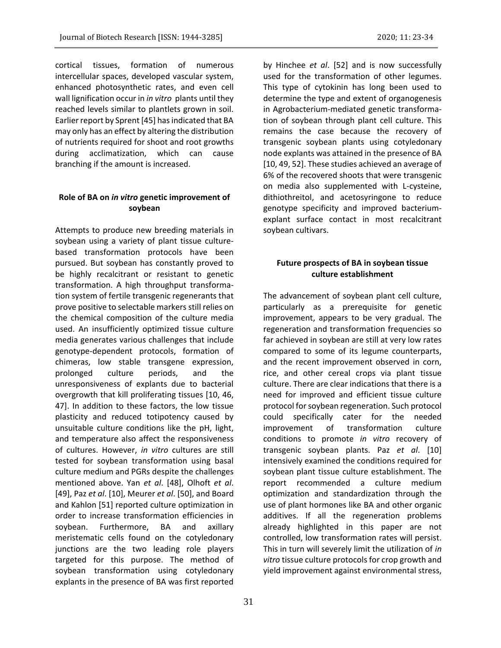cortical tissues, formation of numerous intercellular spaces, developed vascular system, enhanced photosynthetic rates, and even cell wall lignification occur in *in vitro* plants until they reached levels similar to plantlets grown in soil. Earlier report by Sprent [45] has indicated that BA may only has an effect by altering the distribution of nutrients required for shoot and root growths during acclimatization, which can cause branching if the amount is increased.

#### **Role of BA on** *in vitro* **genetic improvement of soybean**

Attempts to produce new breeding materials in soybean using a variety of plant tissue culturebased transformation protocols have been pursued. But soybean has constantly proved to be highly recalcitrant or resistant to genetic transformation. A high throughput transformation system of fertile transgenic regenerants that prove positive to selectable markers still relies on the chemical composition of the culture media used. An insufficiently optimized tissue culture media generates various challenges that include genotype-dependent protocols, formation of chimeras, low stable transgene expression, prolonged culture periods, and the unresponsiveness of explants due to bacterial overgrowth that kill proliferating tissues [10, 46, 47]. In addition to these factors, the low tissue plasticity and reduced totipotency caused by unsuitable culture conditions like the pH, light, and temperature also affect the responsiveness of cultures. However, *in vitro* cultures are still tested for soybean transformation using basal culture medium and PGRs despite the challenges mentioned above. Yan *et al*. [48], Olhoft *et al*. [49], Paz *et al*. [10], Meurer *et al*. [50], and Board and Kahlon [51] reported culture optimization in order to increase transformation efficiencies in soybean. Furthermore, BA and axillary meristematic cells found on the cotyledonary junctions are the two leading role players targeted for this purpose. The method of soybean transformation using cotyledonary explants in the presence of BA was first reported

31

by Hinchee *et al*. [52] and is now successfully used for the transformation of other legumes. This type of cytokinin has long been used to determine the type and extent of organogenesis in Agrobacterium-mediated genetic transformation of soybean through plant cell culture. This remains the case because the recovery of transgenic soybean plants using cotyledonary node explants was attained in the presence of BA [10, 49, 52]. These studies achieved an average of 6% of the recovered shoots that were transgenic on media also supplemented with L-cysteine, dithiothreitol, and acetosyringone to reduce genotype specificity and improved bacteriumexplant surface contact in most recalcitrant soybean cultivars.

### **Future prospects of BA in soybean tissue culture establishment**

The advancement of soybean plant cell culture, particularly as a prerequisite for genetic improvement, appears to be very gradual. The regeneration and transformation frequencies so far achieved in soybean are still at very low rates compared to some of its legume counterparts, and the recent improvement observed in corn, rice, and other cereal crops via plant tissue culture. There are clear indications that there is a need for improved and efficient tissue culture protocol for soybean regeneration. Such protocol could specifically cater for the needed improvement of transformation culture conditions to promote *in vitro* recovery of transgenic soybean plants. Paz *et al*. [10] intensively examined the conditions required for soybean plant tissue culture establishment. The report recommended a culture medium optimization and standardization through the use of plant hormones like BA and other organic additives. If all the regeneration problems already highlighted in this paper are not controlled, low transformation rates will persist. This in turn will severely limit the utilization of *in vitro* tissue culture protocols for crop growth and yield improvement against environmental stress,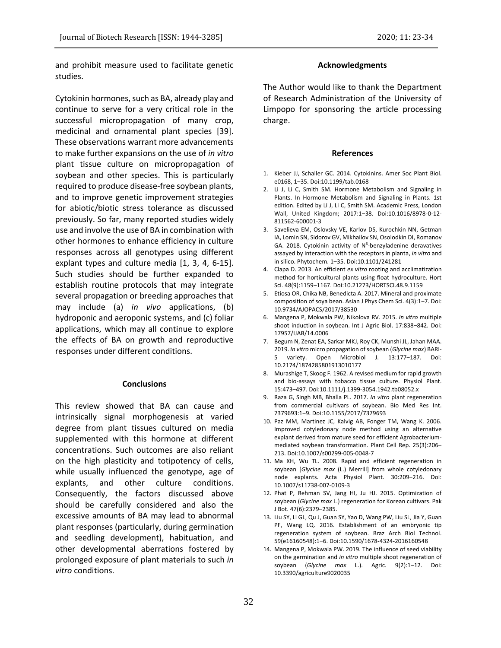and prohibit measure used to facilitate genetic studies.

Cytokinin hormones, such as BA, already play and continue to serve for a very critical role in the successful micropropagation of many crop, medicinal and ornamental plant species [39]. These observations warrant more advancements to make further expansions on the use of *in vitro* plant tissue culture on micropropagation of soybean and other species. This is particularly required to produce disease-free soybean plants, and to improve genetic improvement strategies for abiotic/biotic stress tolerance as discussed previously. So far, many reported studies widely use and involve the use of BA in combination with other hormones to enhance efficiency in culture responses across all genotypes using different explant types and culture media [1, 3, 4, 6-15]. Such studies should be further expanded to establish routine protocols that may integrate several propagation or breeding approaches that may include (a) *in vivo* applications, (b) hydroponic and aeroponic systems, and (c) foliar applications, which may all continue to explore the effects of BA on growth and reproductive responses under different conditions.

#### **Conclusions**

This review showed that BA can cause and intrinsically signal morphogenesis at varied degree from plant tissues cultured on media supplemented with this hormone at different concentrations. Such outcomes are also reliant on the high plasticity and totipotency of cells, while usually influenced the genotype, age of explants, and other culture conditions. Consequently, the factors discussed above should be carefully considered and also the excessive amounts of BA may lead to abnormal plant responses (particularly, during germination and seedling development), habituation, and other developmental aberrations fostered by prolonged exposure of plant materials to such *in vitro* conditions.

#### **Acknowledgments**

The Author would like to thank the Department of Research Administration of the University of Limpopo for sponsoring the article processing charge.

#### **References**

- 1. Kieber JJ, Schaller GC. 2014. Cytokinins. Amer Soc Plant Biol. e0168, 1‒35. Doi:10.1199/tab.0168
- 2. Li J, Li C, Smith SM. Hormone Metabolism and Signaling in Plants. In Hormone Metabolism and Signaling in Plants. 1st edition. Edited by Li J, Li C, Smith SM. Academic Press, London Wall, United Kingdom; 2017:1‒38. Doi:10.1016/8978-0-12- 811562-600001-3
- 3. Savelieva EM, Oslovsky VE, Karlov DS, Kurochkin NN, Getman IA, Lomin SN, Sidorov GV, Mikhailov SN, Osolodkin DI, Romanov GA. 2018. Cytokinin activity of N<sup>6</sup>-benzyladenine deravatives assayed by interaction with the receptors in planta, *in vitro* and in silico. Phytochem. 1‒35. Doi:10.1101/241281
- 4. Clapa D. 2013. An efficient *ex vitro* rooting and acclimatization method for horticultural plants using float hydroculture. Hort Sci. 48(9):1159‒1167. Doi:10.21273/HORTSCI.48.9.1159
- 5. Etiosa OR, Chika NB, Benedicta A. 2017. Mineral and proximate composition of soya bean. Asian J Phys Chem Sci. 4(3):1-7. Doi: 10.9734/AJOPACS/2017/38530
- 6. Mangena P, Mokwala PW, Nikolova RV. 2015. *In vitro* multiple shoot induction in soybean. Int J Agric Biol. 17:838-842. Doi: 17957/IJAB/14.0006
- 7. Begum N, Zenat EA, Sarkar MKJ, Roy CK, Munshi JL, Jahan MAA. 2019. *In vitro* micro propagation of soybean (*Glycine max*) BARI-5 variety. Open Microbiol J. 13:177-187. Doi: 10.2174/1874285801913010177
- 8. Murashige T, Skoog F. 1962. A revised medium for rapid growth and bio-assays with tobacco tissue culture. Physiol Plant. 15:473‒497. Doi:10.1111/j.1399-3054.1942.tb08052.x
- 9. Raza G, Singh MB, Bhalla PL. 2017. *In vitro* plant regeneration from commercial cultivars of soybean. Bio Med Res Int. 7379693:1‒9. Doi:10.1155/2017/7379693
- 10. Paz MM, Martinez JC, Kalvig AB, Fonger TM, Wang K. 2006. Improved cotyledonary node method using an alternative explant derived from mature seed for efficient Agrobacteriummediated soybean transformation. Plant Cell Rep. 25(3):206-213. Doi:10.1007/s00299-005-0048-7
- 11. Ma XH, Wu TL. 2008. Rapid and efficient regeneration in soybean [*Glycine max* (L.) Merrill] from whole cotyledonary node explants. Acta Physiol Plant. 30:209-216. Doi: 10.1007/s11738-007-0109-3
- 12. Phat P, Rehman SV, Jang HI, Ju HJ. 2015. Optimization of soybean (*Glycine max* L.) regeneration for Korean cultivars. Pak J Bot. 47(6):2379-2385.
- 13. Liu SY, Li GL, Qu J, Guan SY, Yao D, Wang PW, Liu SL, Jia Y, Guan PF, Wang LQ. 2016. Establishment of an embryonic tip regeneration system of soybean. Braz Arch Biol Technol. 59(e16160548):1‒6. Doi:10.1590/1678-4324-2016160548
- 14. Mangena P, Mokwala PW. 2019. The influence of seed viability on the germination and *in vitro* multiple shoot regeneration of soybean (*Glycine max* L.). Agric. 9(2):1-12. Doi: 10.3390/agriculture9020035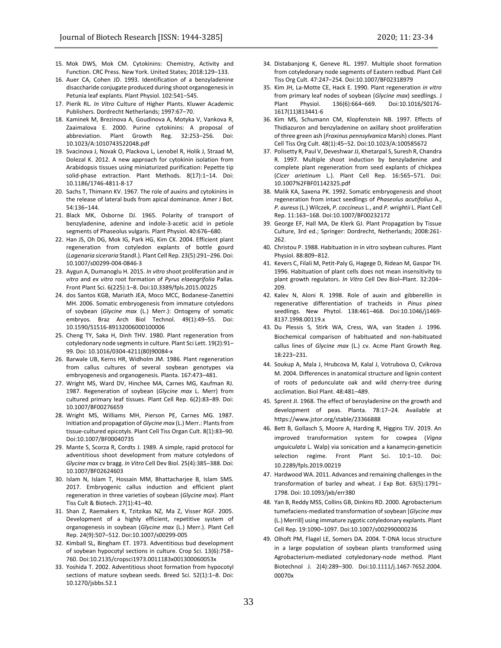- 15. Mok DWS, Mok CM. Cytokinins: Chemistry, Activity and Function. CRC Press. New York. United States; 2018:129-133.
- 16. Auer CA, Cohen JD. 1993. Identification of a benzyladenine disaccharide conjugate produced during shoot organogenesis in Petunia leaf explants. Plant Physiol. 102:541-545.
- 17. Pierik RL. *In Vitro* Culture of Higher Plants. Kluwer Academic Publishers. Dordrecht Netherlands; 1997:67-70.
- 18. Kaminek M, Brezinova A, Goudinova A, Motyka V, Vankova R, Zaaimalova E. 2000. Purine cytokinins: A proposal of abbreviation. Plant Growth Reg. 32:253-256. Doi: 10.1023/A:1010743522048.pdf
- 19. Svacinova J, Novak O, Plackova L, Lenobel R, Holik J, Straad M, Dolezal K. 2012. A new approach for cytokinin isolation from Arabidopsis tissues using miniaturized purification: Pepette tip solid-phase extraction. Plant Methods. 8(17):1-14. Doi: 10.1186/1746-4811-8-17
- 20. Sachs T, Thimann KV. 1967. The role of auxins and cytokinins in the release of lateral buds from apical dominance. Amer J Bot. 54:136‒144.
- 21. Black MK, Osborne DJ. 1965. Polarity of transport of benzyladenine, adenine and indole-3-acetic acid in petiole segments of Phaseolus vulgaris. Plant Physiol. 40:676-680.
- 22. Han JS, Oh DG, Mok IG, Park HG, Kim CK. 2004. Efficient plant regeneration from cotyledon explants of bottle gourd (*Lagenaria siceraria* Standl.). Plant Cell Rep. 23(5):291‒296. Doi: 10.1007/s00299-004-0846-3
- 23. Aygun A, Dumanoglu H. 2015. *In vitro* shoot proliferation and *in vitro* and *ex vitro* root formation of *Pyrus elaeagrifolia* Pallas. Front Plant Sci. 6(225):1‒8. Doi:10.3389/fpls.2015.00225
- 24. dos Santos KGB, Mariath JEA, Moco MCC, Bodanese-Zanettini MH. 2006. Somatic embryogenesis from immature cotyledons of soybean (*Glycine max* (L.) Merr.): Ontogeny of somatic embryos. Braz Arch Biol Technol. 49(1):49-55. Doi: 10.1590/S1516-89132006000100006
- 25. Cheng TY, Saka H, Dinh THV. 1980. Plant regeneration from cotyledonary node segments in culture. Plant Sci Lett. 19(2):91-99. Doi: 10.1016/0304-4211(80)90084-x
- 26. Barwale UB, Kerns HR, Widholm JM. 1986. Plant regeneration from callus cultures of several soybean genotypes via embryogenesis and organogenesis. Planta. 167:473-481.
- 27. Wright MS, Ward DV, Hinchee MA, Carnes MG, Kaufman RJ. 1987. Regeneration of soybean (*Glycine max* L. Merr) from cultured primary leaf tissues. Plant Cell Rep. 6(2):83-89. Doi: 10.1007/BF00276659
- 28. Wright MS, Williams MH, Pierson PE, Carnes MG. 1987. Initiation and propagation of *Glycine max* (L.) Merr.: Plants from tissue-cultured epicotyls. Plant Cell Tiss Organ Cult. 8(1):83-90. Doi:10.1007/BF00040735
- 29. Mante S, Scorza R, Cordts J. 1989. A simple, rapid protocol for adventitious shoot development from mature cotyledons of *Glycine max* cv bragg. *In Vitro* Cell Dev Biol. 25(4):385-388. Doi: 10.1007/BF02624603
- 30. Islam N, Islam T, Hossain MM, Bhattacharjee B, Islam SMS. 2017. Embryogenic callus induction and efficient plant regeneration in three varieties of soybean (*Glycine max*). Plant Tiss Cult & Biotech. 27(1):41-40.
- 31. Shan Z, Raemakers K, Tzitzikas NZ, Ma Z, Visser RGF. 2005. Development of a highly efficient, repetitive system of organogenesis in soybean (*Glycine max* (L.) Merr.). Plant Cell Rep. 24(9):507‒512. Doi:10.1007/s00299-005
- 32. Kimball SL, Bingham ET. 1973. Adventitious bud development of soybean hypocotyl sections in culture. Crop Sci. 13(6):758-760. Doi:10.2135/cropsci1973.0011183x001300060053x
- 33. Yoshida T. 2002. Adventitious shoot formation from hypocotyl sections of mature soybean seeds. Breed Sci. 52(1):1-8. Doi: 10.1270/jsbbs.52.1
- 34. Distabanjong K, Geneve RL. 1997. Multiple shoot formation from cotyledonary node segments of Eastern redbud. Plant Cell Tiss Org Cult. 47:247‒254. Doi:10.1007/BF02318979
- 35. Kim JH, La-Motte CE, Hack E. 1990. Plant regeneration *in vitro* from primary leaf nodes of soybean (*Glycine max*) seedlings. J Plant Physiol. 136(6):664-669. Doi:10.1016/S0176-1617(11)813441-6
- 36. Kim MS, Schumann CM, Klopfenstein NB. 1997. Effects of Thidiazuron and benzyladenine on axillary shoot proliferation of three green ash (*Fraxinus pennsylvanica* Marsh) clones. Plant Cell Tiss Org Cult. 48(1):45‒52. Doi:10.1023/A:100585672
- 37. Polisetty R, Paul V, Deveshwar JJ, Khetarpal S, Suresh R, Chandra R. 1997. Multiple shoot induction by benzyladenine and complete plant regeneration from seed explants of chickpea (*Cicer arietinum* L.). Plant Cell Rep. 16:565‒571. Doi: 10.1007%2FBF01142325.pdf
- 38. Malik KA, Saxena PK. 1992. Somatic embryogenesis and shoot regeneration from intact seedlings of *Phaseolus acutifolius* A., *P. aureus*(L.) Wilczek, *P. coccineus* L., and *P. wrightii* L. Plant Cell Rep. 11:163-168. Doi:10.1007/BF00232172
- 39. George EF, Hall MA, De Klerk GJ. Plant Propagation by Tissue Culture, 3rd ed.; Springer: Dordrecht, Netherlands; 2008:261- 262.
- 40. Christou P. 1988. Habituation in in vitro soybean cultures. Plant Physiol. 88:809‒812.
- 41. Kevers C, Filali M, Petit-Paly G, Hagege D, Ridean M, Gaspar TH. 1996. Habituation of plant cells does not mean insensitivity to plant growth regulators. *In Vitro* Cell Dev Biol-Plant. 32:204-209.
- 42. Kalev N, Aloni R. 1998. Role of auxin and gibberellin in regenerative differentiation of tracheids in *Pinus pinea* seedlings. New Phytol. 138:461-468. Doi:10.1046/j1469-8137.1998.00119.x
- 43. Du Plessis S, Stirk WA, Cress, WA, van Staden J. 1996. Biochemical comparison of habituated and non-habituated callus lines of *Glycine max* (L.) cv. Acme Plant Growth Reg. 18:223-231.
- 44. Soukup A, Mala J, Hrubcova M, Kalal J, Votrubova O, Cvikrova M. 2004. Differences in anatomical structure and lignin content of roots of pedunculate oak and wild cherry-tree during acclimation. Biol Plant. 48:481-489.
- 45. Sprent JI. 1968. The effect of benzyladenine on the growth and development of peas. Planta. 78:17-24. Available at https://www.jstor.org/stable/23366888
- 46. Bett B, Gollasch S, Moore A, Harding R, Higgins TJV. 2019. An improved transformation system for cowpea (*Vigna unguiculata* L. Walp) via sonication and a kanamycin-geneticin selection regime. Front Plant Sci. 10:1-10. Doi: 10.2289/fpls.2019.00219
- 47. Hardwood WA. 2011. Advances and remaining challenges in the transformation of barley and wheat. J Exp Bot. 63(5):1791-1798. Doi: 10.1093/jxb/err380
- 48. Yan B, Reddy MSS, Collins GB, Dinkins RD. 2000. Agrobacterium tumefaciens-mediated transformation of soybean [*Glycine max* (L.) Merrill] using immature zygotic cotyledonary explants. Plant Cell Rep. 19:1090-1097. Doi:10.1007/s002990000236
- 49. Olhoft PM, Flagel LE, Somers DA. 2004. T-DNA locus structure in a large population of soybean plants transformed using Agrobacterium-mediated cotyledonary-node method. Plant Biotechnol J. 2(4):289‒300. Doi:10.1111/j.1467-7652.2004. 00070x